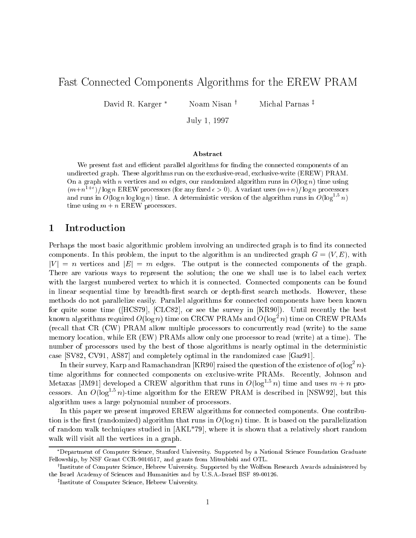# Fast Connected Components Algorithms for the EREW PRAM

David R. Karger<sup>\*</sup> Noam Nisan <sup>†</sup> Michal Parnas <sup>‡</sup>

 $J \sim 1$ ,  $J \sim 1$ ,  $J \sim 1$ 

#### Abstract

We present fast and efficient parallel algorithms for finding the connected components of an undirected graph. These algorithms run on the exclusive-read, exclusive-write (EREW) PRAM. On a graph with n vertices and m edges, our randomized algorithm runs in  $O(\log n)$  time using  $(m+n-1)$  tog n EREW processors (for any fixed  $\epsilon > 0$ ). A variant uses  $(m+n)/\log n$  processors and runs in  $O(\log n \log \log n)$  time. A deterministic version of the algorithm runs in  $O(\log^{1+\epsilon} n)$ time using  $m + n$  EREW processors.

## 1 Introduction

Perhaps the most basic algorithmic problem involving an undirected graph is to find its connected components. In this problem, the input to the algorithm is an undirected graph  $G = (V, E)$ , with  $|V| = n$  vertices and  $|E| = m$  edges. The output is the connected components of the graph. There are various ways to represent the solution; the one we shall use is to label each vertex with the largest numbered vertex to which it is connected. Connected components can be found in linear sequential time by breadth-first search or depth-first search methods. However, these methods do not parallelize easily. Parallel algorithms for connected components have been known for quite some time ([HCS79], [CLC82], or see the survey in [KR90]). Until recently the best known algorithms required  $O(\log n)$  time on CRCW PRAMs and  $O(\log^2 n)$  time on CREW PRAMs (recall that CR (CW) PRAM allow multiple processors to concurrently read (write) to the same memory location, while ER (EW) PRAMs allow only one processor to read (write) at a time). The number of processors used by the best of those algorithms is nearly optimal in the deterministic case [SV82, CV91, AS87] and completely optimal in the randomized case [Gaz91].

In their survey, Karp and Ramachandran [KR90] raised the question of the existence of  $o(\log^-n)$ time algorithms for connected components on exclusive-write PRAMs. Recently, Johnson and Metaxas JJM91 developed a CREW algorithm that runs in  $O( \log^{11} n)$  time and uses  $m + n$  processors. An  $O(\log^{11}{n})$ -time algorithm for the EREW PRAM is described in [NSW92], but this algorithm uses a large polynomial number of processors.

In this paper we present improved EREW algorithms for connected components. One contribution is the first (randomized) algorithm that runs in  $O(\log n)$  time. It is based on the parallelization of random walk techniques studied in [AKL\*79], where it is shown that a relatively short random walk will visit all the vertices in a graph.

Department of Computer Science, Stanford University. Supported by a National Science Foundation Graduate Fellowship, by NSF Grant CCR-9010517, and grants from Mitsubishi and OTL.

<sup>y</sup> Institute of Computer Science, Hebrew University. Supported by the Wolfson Research Awards administered by the Israel Academy of Sciences and Humanities and by U.S.A.-Israel BSF 89-00126.

<sup>z</sup> Institute of Computer Science, Hebrew University.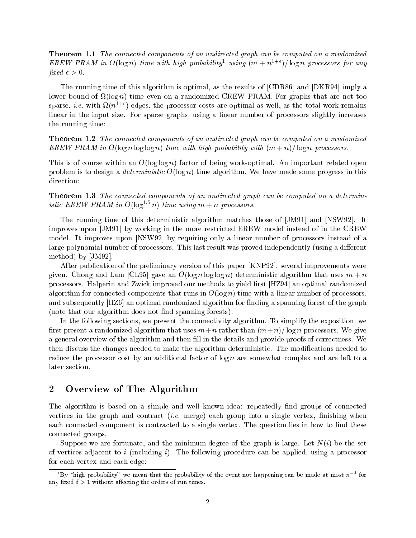Theorem 1.1 The connected components of an undirected graph can be computed on a randomized  $E$ REW PRAM in  $O(\log n)$  time with high probability using  $(m + n^{1+\epsilon})$  fog n processors for any fixed  $\epsilon > 0$ .

The running time of this algorithm is optimal, as the results of [CDR86] and [DKR94] imply a lower bound of (log n) time even on a randomized CREW PRAM. For graphs that are not too sparse,  $\imath.e.$  with  $\imath\imath(\bar{n}+1)$  edges, the processor costs are optimal as well, as the total work remains linear in the input size. For sparse graphs, using a linear number of processors slightly increases the running time:

Theorem 1.2 The connected components of an undirected graph can be computed on a randomized EREW PRAM in  $O(\log n \log \log n)$  time with high probability with  $(m + n)/\log n$  processors.

This is of course within an  $O(\log \log n)$  factor of being work-optimal. An important related open problem is to design a *deterministic*  $O(\log n)$  time algorithm. We have made some progress in this direction:

Theorem 1.3 The connected components of an undirected graph can be computed on a deterministic EREW PRAM in  $O(10g^{2.5}n)$  time using  $m + n$  processors.

The running time of this deterministic algorithm matches those of [JM91] and [NSW92]. It improves upon [JM91] by working in the more restricted EREW model instead of in the CREW model. It improves upon [NSW92] by requiring only a linear number of processors instead of a large polynomial number of processors. This last result was proved independently (using a different method) by [JM92].

After publication of the preliminary version of this paper [KNP92], several improvements were given. Chong and Lam [CL95] gave an  $O(\log n \log \log n)$  deterministic algorithm that uses  $m + n$ processors. Halperin and Zwick improved our methods to yield first [HZ94] an optimal randomized algorithm for connected components that runs in  $O(\log n)$  time with a linear number of processors. and subsequently [HZ6] an optimal randomized algorithm for finding a spanning forest of the graph (note that our algorithm does not find spanning forests).

In the following sections, we present the connectivity algorithm. To simplify the exposition, we first present a randomized algorithm that uses  $m+n$  rather than  $(m+n)/\log n$  processors. We give a general overview of the algorithm and then fill in the details and provide proofs of correctness. We then discuss the changes needed to make the algorithm deterministic. The modications needed to reduce the processor cost by an additional factor of  $\log n$  are somewhat complex and are left to a later section.

### 2 Overview of The Algorithm

The algorithm is based on a simple and well known idea: repeatedly find groups of connected vertices in the graph and contract *(i.e.* merge) each group into a single vertex, finishing when each connected component is contracted to a single vertex. The question lies in how to find these connected groups.

Suppose we are fortunate, and the minimum degree of the graph is large. Let  $N(i)$  be the set of vertices adjacent to i (including  $i$ ). The following procedure can be applied, using a processor for each vertex and each edge:

By "high probability" we mean that the probability of the event not happening can be made at most  $n$  for any fixed  $\delta > 1$  without affecting the orders of run times.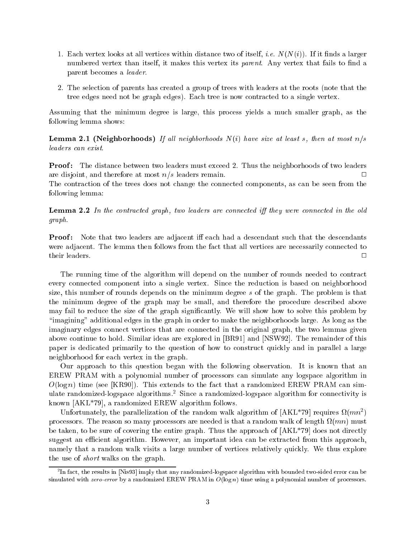- 1. Each vertex looks at all vertices within distance two of itself, *i.e.*  $N(N(i))$ . If it finds a larger numbered vertex than itself, it makes this vertex its *parent*. Any vertex that fails to find a parent becomes a leader.
- 2. The selection of parents has created a group of trees with leaders at the roots (note that the tree edges need not be graph edges). Each tree is now contracted to a single vertex.

Assuming that the minimum degree is large, this process yields a much smaller graph, as the following lemma shows:

Lemma 2.1 (Neighborhoods) If al l neighborhoods N(i) have size at least s, then at most n=s leaders can exist.

Proof : The distance between two leaders must exceed 2. Thus the neighborhoods of two leaders are disjoint, and therefore at most  $n/s$  leaders remain.  $\Box$ 

The contraction of the trees does not change the connected components, as can be seen from the following lemma:

Lemma 2.2 In the contracted graph, two leaders are connected i they were connected in the old graph.

Proof : Note that two leaders are adjacent i each had a descendant such that the descendants were adjacent. The lemma then follows from the fact that all vertices are necessarily connected to their leaders.  $\Box$ 

The running time of the algorithm will depend on the number of rounds needed to contract every connected component into a single vertex. Since the reduction is based on neighborhood size, this number of rounds depends on the minimum degree <sup>s</sup> of the graph. The problem is that the minimum degree of the graph may be small, and therefore the procedure described above may fail to reduce the size of the graph signicantly. We will show how to solve this problem by \imagining" additional edges in the graph in order to make the neighborhoods large. As long as the imaginary edges connect vertices that are connected in the original graph, the two lemmas given above continue to hold. Similar ideas are explored in [BR91] and [NSW92]. The remainder of this paper is dedicated primarily to the question of how to construct quickly and in parallel a large neighborhood for each vertex in the graph.

Our approach to this question began with the following observation. It is known that an EREW PRAM with a polynomial number of processors can simulate any logspace algorithm in  $O(\log n)$  time (see [KR90]). This extends to the fact that a randomized EREW PRAM can simulate randomized-logspace algorithms.2 Since a randomized-logspace algorithm for connectivity is known [AKL\*79], a randomized EREW algorithm follows.

Unfortunately, the parallelization of the random walk algorithm of  $|{\rm A}\Lambda_{\rm L}^{*}(s)|$  requires  $\Omega(mn^{2})$ processors. The reason so many processors are needed is that a random walk of length (mn) must be taken, to be sure of covering the entire graph. Thus the approach of [AKL\*79] does not directly suggest an efficient algorithm. However, an important idea can be extracted from this approach. namely that a random walk visits a large number of vertices relatively quickly. We thus explore the use of short walks on the graph.

<sup>2</sup> In fact, the results in [Nis93] imply that any randomized-logspace algorithm with bounded two-sided error can be simulated with zero-error by a randomized EREW PRAM in  $O(\log n)$  time using a polynomial number of processors.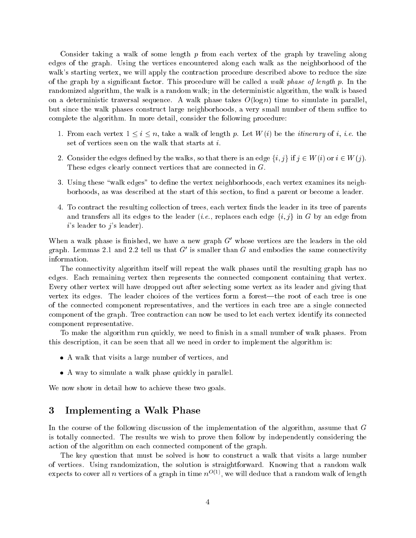Consider taking a walk of some length  $p$  from each vertex of the graph by traveling along edges of the graph. Using the vertices encountered along each walk as the neighborhood of the walk's starting vertex, we will apply the contraction procedure described above to reduce the size of the graph by a significant factor. This procedure will be called a walk phase of length p. In the randomized algorithm, the walk is a random walk; in the deterministic algorithm, the walk is based on a deterministic traversal sequence. A walk phase takes  $O(\log n)$  time to simulate in parallel. but since the walk phases construct large neighborhoods, a very small number of them suffice to complete the algorithm. In more detail, consider the following procedure:

- 1. From each vertex  $1 \leq i \leq n$ , take a walk of length p. Let  $W(i)$  be the *itinerary* of *i*, *i.e.* the set of vertices seen on the walk that starts at i.
- 2. Consider the edges defined by the walks, so that there is an edge  $\{i, j\}$  if  $j \in W(i)$  or  $i \in W(j)$ . These edges clearly connect vertices that are connected in G.
- 3. Using these "walk edges" to define the vertex neighborhoods, each vertex examines its neighborhoods, as was described at the start of this section, to find a parent or become a leader.
- 4. To contract the resulting collection of trees, each vertex finds the leader in its tree of parents and transfers all its edges to the leader (*i.e.*, replaces each edge  $\{i, j\}$  in G by an edge from  $i$ 's leader to  $j$ 's leader).

When a walk phase is nished, we have a new graph G0 whose vertices are the leaders in the old graph. Lemmas 2.1 and 2.2 ten us that G is smaller than G and embodies the same connectivity information.

The connectivity algorithm itself will repeat the walk phases until the resulting graph has no edges. Each remaining vertex then represents the connected component containing that vertex. Every other vertex will have dropped out after selecting some vertex as its leader and giving that vertex its edges. The leader choices of the vertices form a forest—the root of each tree is one of the connected component representatives, and the vertices in each tree are a single connected component of the graph. Tree contraction can now be used to let each vertex identify its connected component representative.

To make the algorithm run quickly, we need to finish in a small number of walk phases. From this description, it can be seen that all we need in order to implement the algorithm is:

- $\mathbf{A}$  walk that visits a large number of vertices, and vertices, and vertices, and vertices, and vertices, and vertices, and vertices, and vertices, and vertices, and vertices, and vertices, and vertices, and vertices,
- A way to simulate a walk phase quickly in parallel.

We now show in detail how to achieve these two goals.

# 3 Implementing a Walk Phase

In the course of the following discussion of the implementation of the algorithm, assume that <sup>G</sup> is totally connected. The results we wish to prove then follow by independently considering the action of the algorithm on each connected component of the graph.

The key question that must be solved is how to construct a walk that visits a large number of vertices. Using randomization, the solution is straightforward. Knowing that a random walk expects to cover all  $n$  vertices of a graph in time  $n^{-\vee\circ}$  , we will deduce that a random walk of length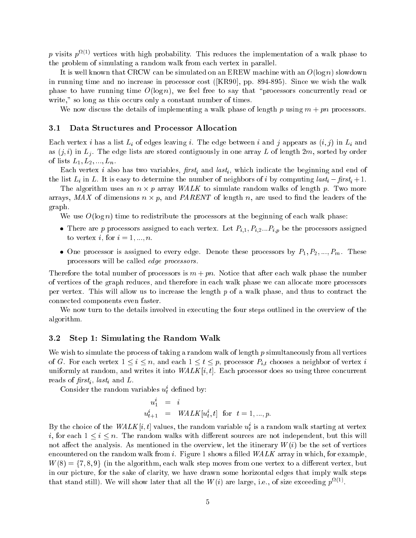$p$  visits  $p^{++>}$  vertices with high probability. This reduces the implementation of a walk phase to the problem of simulating a random walk from each vertex in parallel.

It is well known that CRCW can be simulated on an EREW machine with an  $O(\log n)$  slowdown in running time and no increase in processor cost ([KR90], pp. 894-895). Since we wish the walk phase to have running time  $O(\log n)$ , we feel free to say that "processors concurrently read or write," so long as this occurs only a constant number of times.

We now discuss the details of implementing a walk phase of length p using  $m + pn$  processors.

#### 3.1 Data Structures and Processor Allocation

Each vertex i has a list  $L_i$  of edges leaving i. The edge between i and j appears as  $(i, j)$  in  $L_i$  and as  $(j, i)$  in  $L_i$ . The edge lists are stored contiguously in one array L of length 2m, sorted by order of lists  $L_1, L_2, ..., L_n$ .

Each vertex *i* also has two variables,  $first_i$  and  $last_i$ , which indicate the beginning and end of the list  $L_i$  in L. It is easy to determine the number of neighbors of i by computing  $last_i - first_i + 1$ .

The algorithm uses an <sup>n</sup> - <sup>p</sup> array WALK to simulate random walks of length p. Two more arrays, Max of dimensions names names not her considered to and the length normal contracts of the leaders graph.

We use  $O(\log n)$  time to redistribute the processors at the beginning of each walk phase:

- There are <sup>p</sup> processors assigned to each vertex. Let Pi;1; Pi;2:::Pi;p be the processors assigned to vertex i, for  $i = 1, ..., n$ .
- $\Box$  assigned to every executive to every edge. Denote the processors by P1; P2;  $\Box$  is PM. These processors by P1; PM. These processors by P1; P2; PM. These processors by P1; PM. These processors by P1; PM. These proces processors will be called edge processors.

Therefore the total number of processors is  $m + pn$ . Notice that after each walk phase the number of vertices of the graph reduces, and therefore in each walk phase we can allocate more processors per vertex. This will allow us to increase the length  $p$  of a walk phase, and thus to contract the connected components even faster.

We now turn to the details involved in executing the four steps outlined in the overview of the algorithm.

#### 3.2 Step 1: Simulating the Random Walk

We wish to simulate the process of taking a random walk of length  $p$  simultaneously from all vertices of G. For each vertex  $1 \leq i \leq n$ , and each  $1 \leq t \leq p$ , processor  $P_{i,t}$  chooses a neighbor of vertex i uniformly at random, and writes it into  $WALK[i, t]$ . Each processor does so using three concurrent reads of the contract of the contract of the contract of the contract of the contract of the contract of the contract of the contract of the contract of the contract of the contract of the contract of the contract of the c

Consider the random variables  $u_t$  defined by:

$$
\begin{array}{rcl} u_1^i & = & i \\ u_{t+1}^i & = & WALK[u_t^i, t] \;\; \text{for} \;\; t = 1, ..., p. \end{array}
$$

Dy the choice of the  $WAL\Lambda$  [i, i] values, the random variable  $u_t$  is a random walk starting at vertex i, for each  $1 \leq i \leq n$ . The random walks with different sources are not independent, but this will not affect the analysis. As mentioned in the overview, let the itinerary  $W(i)$  be the set of vertices encountered on the random walk from i. Figure 1 shows a filled  $WALK$  array in which, for example,  $W(8) = \{7, 8, 9\}$  (in the algorithm, each walk step moves from one vertex to a different vertex, but in our picture, for the sake of clarity, we have drawn some horizontal edges that imply walk steps that stand still). We will show later that all the W  $(i)$  are large, i.e., of size exceeding  $p^{+ \gamma - 2}$ .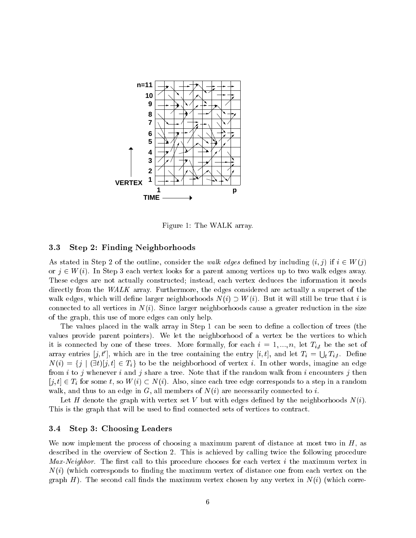

Figure 1: The WALK array.

#### 3.3 Step 2: Finding Neighborhoods

As stated in Step 2 of the outline, consider the walk edges defined by including  $(i, j)$  if  $i \in W(j)$ or  $j \in W(i)$ . In Step 3 each vertex looks for a parent among vertices up to two walk edges away. These edges are not actually constructed; instead, each vertex deduces the information it needs directly from the WALK array. Furthermore, the edges considered are actually a superset of the walk edges, which will define larger neighborhoods  $N(i) \supset W(i)$ . But it will still be true that i is connected to all vertices in  $N(i)$ . Since larger neighborhoods cause a greater reduction in the size of the graph, this use of more edges can only help.

The values placed in the walk array in Step 1 can be seen to define a collection of trees (the values provide parent pointers). We let the neighborhood of a vertex be the vertices to which it is connected by one of these trees. More formally, for each  $i = 1, ..., n$ , let  $T_{i,t}$  be the set of array entries  $[j, t']$ , which are in the tree containing the entry  $[i, t]$ , and let  $T_i = \bigcup_t T_{i,t}$ . Define  $N(i) = \{j \mid (\exists t)[j, t] \in T_i\}$  to be the neighborhood of vertex i. In other words, imagine an edge from i to j whenever i and j share a tree. Note that if the random walk from i encounters j then  $[i, t] \in T_i$  for some t, so  $W(i) \subset N(i)$ . Also, since each tree edge corresponds to a step in a random walk, and thus to an edge in  $G$ , all members of  $N(i)$  are necessarily connected to i.

Let H denote the graph with vertex set V but with edges defined by the neighborhoods  $N(i)$ . This is the graph that will be used to find connected sets of vertices to contract.

### 3.4 Step 3: Choosing Leaders

We now implement the process of choosing a maximum parent of distance at most two in  $H$ , as described in the overview of Section 2. This is achieved by calling twice the following procedure *Max-Neighbor.* The first call to this procedure chooses for each vertex i the maximum vertex in  $N(i)$  (which corresponds to finding the maximum vertex of distance one from each vertex on the graph  $H$ ). The second call finds the maximum vertex chosen by any vertex in  $N(i)$  (which corre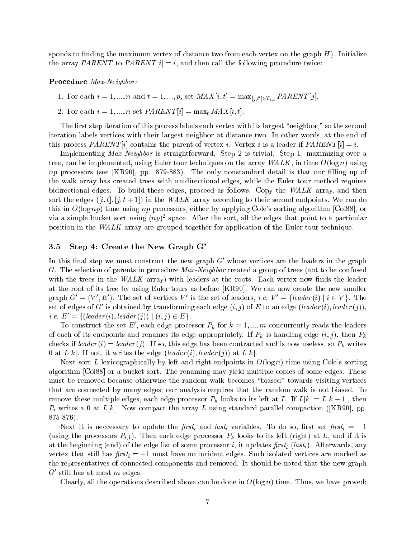sponds to finding the maximum vertex of distance two from each vertex on the graph  $H$ ). Initialize the array PARENT to PARENT  $[i] = i$ , and then call the following procedure twice:

#### Procedure Max-Neighbor:

- 1. For each <sup>i</sup> = 1; :::; n and <sup>t</sup> = 1; :::; p, set MAX [i; t] = max[j;t0 ]2Ti;t PARENT [j].
- 2. For each  $i = 1, ..., n$  set  $PARENT[i] = \max_t MAX[i, t].$

The first step iteration of this process labels each vertex with its largest "neighbor," so the second iteration labels vertices with their largest neighbor at distance two. In other words, at the end of this process  $PARENT[i]$  contains the parent of vertex i. Vertex i is a leader if  $PARENT[i] = i$ .

Implementing Max-Neighbor is straightforward. Step 2 is trivial. Step 1, maximizing over a tree, can be implemented, using Euler tour techniques on the array  $WALK$ , in time  $O(\log n)$  using np processors (see  $[KR90]$ , pp. 879-883). The only nonstandard detail is that our filling up of the walk array has created trees with unidirectional edges, while the Euler tour method requires bidirectional edges. To build these edges, proceed as follows. Copy the WALK array, and then sort the edges  $([i, t], [j, t + 1])$  in the WALK array according to their second endpoints. We can do this in  $O(\log np)$  time using np processors, either by applying Cole's sorting algorithm [Col88], or via a simple bucket sort using  $(np)^2$  space. After the sort, all the edges that point to a particular position in the WALK array are grouped together for application of the Euler tour technique.

#### 3.5 Step 4: Create the New Graph G'

In this final step we must construct the new graph  $\rm G$  whose vertices are the leaders in the graph G. The selection of parents in procedure Max-Neighbor created a group of trees (not to be confused with the trees in the  $WALK$  array) with leaders at the roots. Each vertex now finds the leader at the root of its tree by using Euler tours as before [KR90]. We can now create the new smaller graph G $\tau = (V, E)$ . The set of vertices V is the set of leaders, *i.e.*  $V =$   $\tau$  *leader*  $(i)$   $\tau$   $i \in V$   $\tau$ . The set of edges of G-1s obtained by transforming each edge  $(i, j)$  of E-to an edge (leader (i), leader (1)), i.e.  $E' = \{ (leader(i), leader(j)) \mid (i, j) \in E \}.$ 

To construct the set E, each edge processor  $P_k$  for  $k = 1, ..., m$  concurrently reads the leaders of each of its endpoints and renames its edge appropriately. If  $P_k$  is handling edge  $(i, j)$ , then  $P_k$ checks if  $leader(i) = leader(j)$ . If so, this edge has been contracted and is now useless, so  $P_k$  writes 0 at  $L[k]$ . If not, it writes the edge (leader (i), leader (j)) at  $L[k]$ .

Next sort L lexicographically by left and right endpoints in  $O(\log n)$  time using Cole's sorting algorithm [Col88] or a bucket sort. The renaming may yield multiple copies of some edges. These must be removed because otherwise the random walk becomes \biased" towards visiting vertices that are connected by many edges; our analysis requires that the random walk is not biased. To remove these multiple edges, each edge processor  $P_k$  looks to its left at L. If  $L[k] = L[k-1]$ , then  $P_i$  writes a 0 at  $L[k]$ . Now compact the array L using standard parallel compaction ([KR90], pp. 875-876).

Next it is neccessary to update the first<sub>i</sub> and last<sub>i</sub> variables. To do so, first set first<sub>i</sub> = -1 (using the processors  $P_{i,1}$ ). Then each edge processor  $P_k$  looks to its left (right) at L, and if it is at the beginning (end) of the edge list of some processor i, it updates first, (last,). Afterwards, any vertex that still has  $first_i = -1$  must have no incident edges. Such isolated vertices are marked as the representatives of connected components and removed. It should be noted that the new graph  $\sigma$  still has at most  $m$  edges.

Clearly, all the operations described above can be done in  $O(\log n)$  time. Thus, we have proved: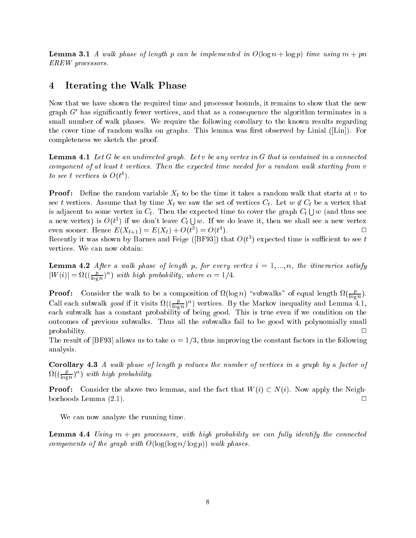Lemma 3.1 A walk phase of length <sup>p</sup> can be implemented in O(log <sup>n</sup> + log p) time using <sup>m</sup> + pn EREW processors.

## 4 Iterating the Walk Phase

Now that we have shown the required time and processor bounds, it remains to show that the new graph G0 has signicantly fewer vertices, and that as a consequence the algorithm terminates in a small number of walk phases. We require the following corollary to the known results regarding the cover time of random walks on graphs. This lemma was first observed by Linial ([Lin]). For completeness we sketch the proof.

Lemma 4.1 Let <sup>G</sup> be an undirected graph. Let <sup>v</sup> be any vertex in <sup>G</sup> that is contained in a connected component of at least <sup>t</sup> vertices. Then the expected time needed for a random walk starting from <sup>v</sup> to see t vertices is  $O(t^-)$ .

 $\mathcal P$  . Decrease the random variable  $\mathcal P$  to be the time it takes at the time it that starts at v to  $\mathcal P$ see t vertices. Assume that by time  $X_t$  we saw the set of vertices  $C_t$ . Let  $w \notin C_t$  be a vertex that is adjacent to some vertex in  $C_t$ . Then the expected time to cover the graph  $C_t \cup w$  (and thus see a new vertex) is  $O(t^3)$  if we don't leave  $C_t \cup w$ . If we do leave it, then we shall see a new vertex  $\Box$ even sooner. Hence  $E(\Lambda_{t+1}) = E(\Lambda_t) + O(t^+) = O(t^-)$  $\blacksquare$ Recently it was shown by Barnes and Feige ([BF93]) that  $O(t^+)$  expected time is sufficient to see t vertices. We can now obtain:

Lemma 4.2 After a walk phase of length p, for every vertex <sup>i</sup> = 1; :::; n, the itineraries satisfy  $|W(i)| = \Omega((\frac{1}{\log n})^{\alpha})$  with high probability, where  $\alpha = 1/4$ .

Proof: Consider the walk to be a composition of  $\Omega(\log n)$  "subwalks" of equal length  $\Omega(\frac{r}{\log n})$ .  $-$ Call each subwalk *good* if it visits  $\Omega((\frac{E}{\log n})^{\alpha})$  vertices. By the Markov inequality and Lemma 4.1, each subwalk has a constant probability of being good. This is true even if we condition on the outcomes of previous subwalks. Thus all the subwalks fail to be good with polynomially small  $\Box$ probability. The contract of the contract of the contract of the contract of the contract of the contract of the contract of the contract of the contract of the contract of the contract of the contract of the contract of t

The result of [BF93] allows us to take  $\alpha = 1/3$ , thus improving the constant factors in the following analysis.

Corollary 4.3 A walk phase of length <sup>p</sup> reduces the number of vertices in a graph by a factor of  $\Omega((\frac{P}{\log n})^{\alpha})$  with high probability.

Proof : Consider the above two lemmas, and the fact that W(i) N(i). Now apply the Neighborhoods Lemma  $(2.1)$ .  $\Box$ 

We can now analyze the running time.

 $-$ 

Lemma 4.4 Using <sup>m</sup> + pn processors, with high probability we can ful ly identify the connected components of the graph with  $O(\log(\log n/\log p))$  walk phases.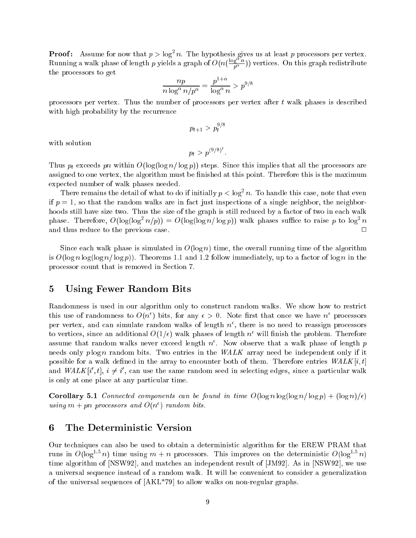**Proof:** Assume for now that  $p > \log^2 n$ . The hypothesis gives us at least  $p$  processors per vertex. Running a walk phase of length p yields a graph of  $O(n(\frac{\log^{-n}}{p^{\alpha}}))$  vertices. On this graph redistribute the processors to get

$$
\frac{np}{n\log^{\alpha}n/p^{\alpha}} = \frac{p^{1+\alpha}}{\log^{\alpha}n} > p^{9/8}
$$

processors per vertex. Thus the number of processors per vertex after <sup>t</sup> walk phases is described with high probability by the recurrence

$$
p_{t+1} > p_t^{9/8}
$$

with solution

$$
p_t > p^{(9/8)^t}
$$

Thus  $p_t$  exceeds pn within  $O(\log(\log n/\log p))$  steps. Since this implies that all the processors are assigned to one vertex, the algorithm must be finished at this point. Therefore this is the maximum expected number of walk phases needed.

There remains the detail of what to do if initially  $p <$  log n. To handle this case, note that even if  $p = 1$ , so that the random walks are in fact just inspections of a single neighbor, the neighborhoods still have size two. Thus the size of the graph is still reduced by a factor of two in each walk phase. Therefore,  $O(\log(\log^2 n/p)) = O(\log(\log n)/\log p))$  walk phases suffice to raise p to log n and thus reduce to the previous case.  $\Box$ 

Since each walk phase is simulated in  $O(\log n)$  time, the overall running time of the algorithm is  $O(\log n \log(\log n/\log p))$ . Theorems 1.1 and 1.2 follow immediately, up to a factor of log n in the processor count that is removed in Section 7.

#### $\overline{5}$ 5 Using Fewer Random Bits

Randomness is used in our algorithm only to construct random walks. We show how to restrict this use of randomness to  $O(n)$  bits, for any  $\epsilon > 0$ . Note first that once we have n processors per vertex, and can simulate random walks of length  $n^*$ , there is no need to reassign processors to vertices, since an additional  $O(1/\epsilon)$  walk phases of length  $n^+$  will hillsh the problem. Therefore assume that random walks never exceed length  $n$  . Now observe that a walk phase of length  $p$ needs only  $p \log n$  random bits. Two entries in the  $WALK$  array need be independent only if it possible for a walk defined in the array to encounter both of them. Therefore entries  $WALK[i, t]$ and  $\mathit{WALN}$   $[i, i], i \neq i$  , can use the same random seed in selecting edges, since a particular walk is only at one place at any particular time.

Corollary 5.1 Connected components can be found in time O(log <sup>n</sup> log(log n= log p) + (log n)=)  $using m + pn$  processors and  $O(n^*)$  random bits.

### 6 The Deterministic Version

Our techniques can also be used to obtain a deterministic algorithm for the EREW PRAM that runs in  $O( \log n)$  time using  $m + n$  processors. This improves on the deterministic  $O(\log n)$ time algorithm of [NSW92], and matches an independent result of [JM92]. As in [NSW92], we use a universal sequence instead of a random walk. It will be convenient to consider a generalization of the universal sequences of [AKL\*79] to allow walks on non-regular graphs.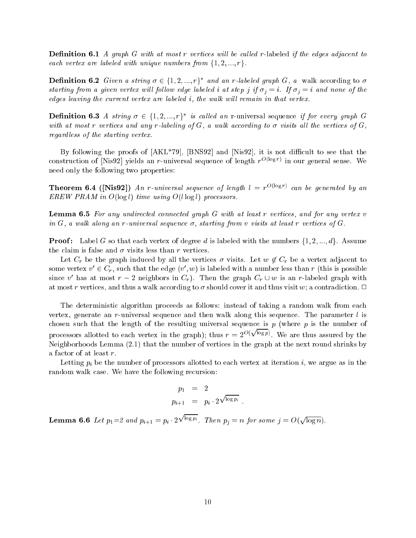Denition 6.1 A graph <sup>G</sup> with at most <sup>r</sup> vertices wil l be cal led r-labeled if the edges adjacent to each vertex are labeled with unique numbers from  $\{1, 2, ..., r\}$ .

**Demition 6.2** Given a string  $\sigma \in \{1, 2, ..., r\}$  and an r-labeled graph G, a walk according to  $\sigma$ starting from a given vertex will follow edge labeled i at step j if  $\sigma_i = i$ . If  $\sigma_i = i$  and none of the edges leaving the current vertex are labeled  $i$ , the walk will remain in that vertex.

**Definition 6.3** A string  $\sigma \in \{1, 2, ..., T\}$  is called an r-universal sequence if for every graph G with at most r vertices and any r-labeling of  $G$ , a walk according to  $\sigma$  visits all the vertices of  $G$ , regardless of the starting vertex.

By following the proofs of  $[AKL*79]$ ,  $[BNS92]$  and  $[Nis92]$ , it is not difficult to see that the construction of [Nis92] yields an r-universal sequence of length  $r \rightarrow \infty$  in our general sense. We need only the following two properties:

**Theorem 6.4 ([NIS92])** An r-universal sequence of length  $\iota = r^{\text{even}}$  can be generated by an EREW PRAM in  $O(log l)$  time using  $O(l log l)$  processors.

Lemma 6.5 For any undirected connected graph <sup>G</sup> with at least <sup>r</sup> vertices, and for any vertex <sup>v</sup> in G, a walk along an r-universal sequence  $\sigma$ , starting from v visits at least r vertices of G.

Proof : Label <sup>G</sup> so that each vertex of degree <sup>d</sup> is labeled with the numbers f1; 2; :::; dg. Assume the claim is false and  $\sigma$  visits less than r vertices.

Let  $C_r$  be the graph induced by all the vertices  $\sigma$  visits. Let  $w \notin C_r$  be a vertex adjacent to some vertex  $v\ \in \mathrm{C}_r,$  such that the edge  $(v\ , w)$  is labeled with a number less than r (this is possible since v has at most  $r - z$  neighbors in  $C_r$ ). Then the graph  $C_r \cup w$  is an r-labeled graph with at most r vertices, and thus a walk according to  $\sigma$  should cover it and thus visit w; a contradiction.  $\Box$ 

The deterministic algorithm proceeds as follows: instead of taking a random walk from each vertex, generate an r-universal sequence and then walk along this sequence. The parameter  $l$  is chosen such that the length of the resulting universal sequence is  $p$  (where  $p$  is the number of processors allotted to each vertex in the graph); thus  $r = 2^{O(\sqrt{\log p})}$ . We are thus assured by the Neighborhoods Lemma (2.1) that the number of vertices in the graph at the next round shrinks by a factor of at least r.

Letting  $p_i$  be the number of processors allotted to each vertex at iteration i, we argue as in the random walk case. We have the following recursion:

$$
p_1 = 2
$$
  

$$
p_{i+1} = p_i \cdot 2^{\sqrt{\log p_i}}
$$

 $-$  - - - - - - - - - - pi 200 and pi 200 and pi 200 and pi 200 and pi 200 and pi 200 and pi 200 and pi 200 and pi 200 and pi 200 and pi 200 and pi 200 and pi 200 and pi 200 and pi 200 and pi 200 and pi 2  $\sqrt{\log p_i}$ . Then  $p_j = n$  for some  $j = O(n)$ <u>para a para a para a para a para a para a para a para a para a para a para a para a para a para a para a para a para a para a para a para a para a para a para a para a para a para a para a para a para a para a para a para</u> log n).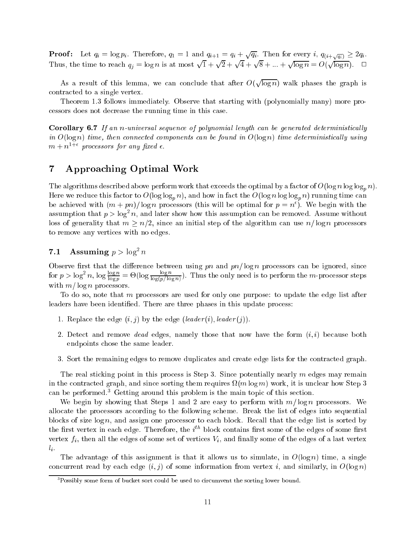**Proof:** Let  $q_i = \log p_i$ . Therefore,  $q_1 = 1$  and  $q_{i+1} = q_i + \sqrt{q_i}$ . Then for every i,  $q_{(i+\sqrt{q_i})} \ge 2q_i$ .<br>Thus, the time to reach  $q_i = \log n$  is at most  $\sqrt{1} + \sqrt{2} + \sqrt{4} + \sqrt{8} + ... + \sqrt{\log n} = O(\sqrt{\log n})$ .  $\Box$ <u>para a para a para a para a para a para a para a para a para a para a para a para a para a para a para a para a para a para a para a para a para a para a para a para a para a para a para a para a para a para a para a para</u> 2 + <u>para a para a para a para a para a para a para a para a para a para a para a para a para a para a para a para a para a para a para a para a para a para a para a para a para a para a para a para a para a para a para a para</u> 4 + <u>provided</u> 8 + ::: + <u>provided</u> log <sup>n</sup> = O( <u>para a para a para a para a para a para a para a para a para a para a para a para a para a para a para a para a para a para a para a para a para a para a para a para a para a para a para a para a para a para a para a para</u> log n). <sup>2</sup>

As a result of this lemma, we can conclude that after  $\mathcal{A}$ <u>parameters</u> log n) walk phases the graph is contracted to a single vertex.

Theorem 1.3 follows immediately. Observe that starting with (polynomially many) more processors does not decrease the running time in this case.

Corollary 6.7 If an n-universal sequence of polynomial length can be generated deterministical ly in  $O(\log n)$  time, then connected components can be found in  $O(\log n)$  time deterministically using  $m+n-processors$  for any fixed  $\epsilon.$ 

# 7 Approaching Optimal Work

The algorithms described above perform work that exceeds the optimal by a factor of  $O(\log n \log \log_p n)$ . Here we reduce this factor to  $O(\log \log_n n)$ , and how in fact the  $O(\log n \log \log_n n)$  running time can be achieved with  $(m + pn)/\log n$  processors (this will be optimal for  $p = n$ ). We begin with the assumption that  $p > \log^+ n$ , and later show how this assumption can be removed. Assume without loss of generality that  $m \geq n/2$ , since an initial step of the algorithm can use  $n/\log n$  processors to remove any vertices with no edges.

### 7.1 Assuming  $p > log n$

Observe first that the difference between using pn and  $pn/\log n$  processors can be ignored, since for  $p > \log^2 n$ ,  $\log \frac{\log p}{\log p} = \Theta(\log \frac{p}{\log(p/\log n)})$ . Thus the only need is to perform the m-processor steps with  $m/\log n$  processors.

To do so, note that m processors are used for only one purpose: to update the edge list after leaders have been identied. There are three phases in this update process:

- 1. Replace the edge  $(i, j)$  by the edge  $(leader(i), leader(j)).$
- 2. Detect and remove *dead* edges, namely those that now have the form  $(i, i)$  because both endpoints chose the same leader.
- 3. Sort the remaining edges to remove duplicates and create edge lists for the contracted graph.

The real sticking point in this process is Step 3. Since potentially nearly  $m$  edges may remain in the contracted graph, and since sorting them requires (m log m) work, it is unclear how Step 3 can be performed.3 Getting around this problem is the main topic of this section.

We begin by showing that Steps 1 and 2 are easy to perform with  $m/\log n$  processors. We allocate the processors according to the following scheme. Break the list of edges into sequential blocks of size  $\log n$ , and assign one processor to each block. Recall that the edge list is sorted by the first vertex in each edge. Therefore, the  $i^{\ldots}$  block contains first some of the edges of some first vertex  $f_i$ , then all the edges of some set of vertices  $V_i$ , and finally some of the edges of a last vertex  $\cdot$  .

The advantage of this assignment is that it allows us to simulate, in  $O(\log n)$  time, a single concurrent read by each edge  $(i, j)$  of some information from vertex i, and similarly, in  $O(\log n)$ 

Possibly some form of bucket sort could be used to circumvent the sorting lower bound.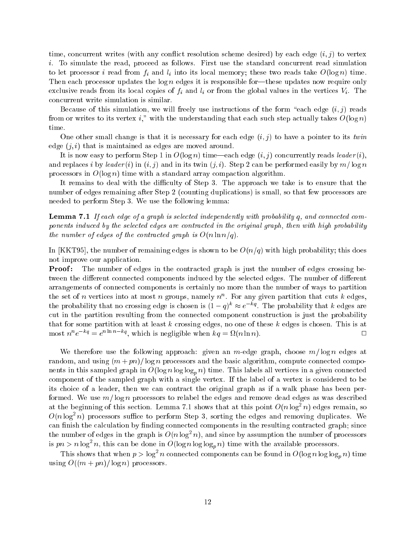time, concurrent writes (with any conflict resolution scheme desired) by each edge  $(i, j)$  to vertex i. To simulate the read, proceed as follows. First use the standard concurrent read simulation to let processor <sup>i</sup> read from fi and <sup>l</sup> <sup>i</sup> into its local memory; these two reads take O(log n) time. Then each processor updates the  $\log n$  edges it is responsible for—these updates now require only exclusive reading from the state copies of  $j$  and less of the virtual values in the virtual values  $\alpha$  is the concurrent write simulation is similar.

Because of this simulation, we will freely use instructions of the form "each edge  $(i, j)$  reads from or writes to its vertex i," with the understanding that each such step actually takes  $O(\log n)$ time.

One other small change is that it is necessary for each edge  $(i, j)$  to have a pointer to its twin edge  $(j, i)$  that is maintained as edges are moved around.

It is now easy to perform Step 1 in  $O(\log n)$  time—each edge  $(i, j)$  concurrently reads leader  $(i)$ . and replaces i by leader (i) in  $(i, j)$  and in its twin  $(j, i)$ . Step 2 can be performed easily by  $m / \log m$ processors in  $O(\log n)$  time with a standard array compaction algorithm.

It remains to deal with the difficulty of Step 3. The approach we take is to ensure that the number of edges remaining after Step 2 (counting duplications) is small, so that few processors are needed to perform Step 3. We use the following lemma:

Lemma 7.1 If each edge of a graph is selected independently with probability q, and connected components induced by the selected edges are contracted in the original graph, then with high probability the number of edges of the contracted graph is  $O(n \ln n/q)$ .

In [KKT95], the number of remaining edges is shown to be  $O(n/q)$  with high probability; this does not improve our application.

Proof: The number of edges in the contracted graph is just the number of edges crossing between the different connected components induced by the selected edges. The number of different arrangements of connected components is certainly no more than the number of ways to partition the set of n vertices into at most n groups, namely  $n^{\circ}$ . For any given partition that cuts  $\kappa$  edges, the probability that no crossing edge is chosen is  $(1-q)$   $\approx e$   $\rightarrow$ . The probability that k edges are cut in the partition resulting from the connected component construction is just the probability that for some partition with at least  $k$  crossing edges, no one of these  $k$  edges is chosen. This is at most  $u^+e^{-u} = e^{u^+e^{-u}}$ , which is negligible when  $\kappa q = \kappa(n \ln n)$ .

We therefore use the following approach: given an m-edge graph, choose  $m/\log n$  edges at random, and using  $(m + pn)/\log n$  processors and the basic algorithm, compute connected components in this sampled graph in  $O(\log n \log \log_n n)$  time. This labels all vertices in a given connected component of the sampled graph with a single vertex. If the label of a vertex is considered to be its choice of a leader, then we can contract the original graph as if a walk phase has been performed. We use  $m/\log n$  processors to relabel the edges and remove dead edges as was described at the beginning of this section. Lemma 7.1 shows that at this point  $O(n \log^2 n)$  edges remain, so  $O(n \log^2 n)$  processors sumce to perform Step 3, sorting the edges and removing duplicates. We can finish the calculation by finding connected components in the resulting contracted graph; since the number of edges in the graph is  $O(n \log^2 n)$ , and since by assumption the number of processors is  $pn > n$  log<sup>-</sup> n, this can be done in  $O(\log n \log \log_n n)$  time with the available processors.

This shows that when  $p > \log^2 n$  connected components can be found in  $O(\log n \log \log_p n)$  time using  $O((m + pn)/\log n)$  processors.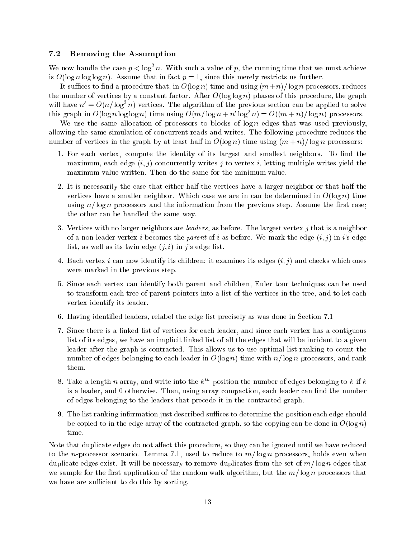### 7.2 Removing the Assumption

We now handle the case  $p < \log^2 n$ . With such a value of p, the running time that we must achieve is  $O(\log n \log \log n)$ . Assume that in fact  $p = 1$ , since this merely restricts us further.

It suffices to find a procedure that, in  $O(\log n)$  time and using  $(m+n)/\log n$  processors, reduces the number of vertices by a constant factor. After  $O(\log \log n)$  phases of this procedure, the graph will have  $n\equiv O(n/\log^2n)$  vertices. The algorithm of the previous section can be applied to solve this graph in  $O(\log n \log \log n)$  time using  $O(m/\log n + n/\log^2 n) = O((m + n)/\log n)$  processors.

We use the same allocation of processors to blocks of  $\log n$  edges that was used previously, allowing the same simulation of concurrent reads and writes. The following procedure reduces the number of vertices in the graph by at least half in  $O(\log n)$  time using  $(m + n)/ \log n$  processors:

- 1. For each vertex, compute the identity of its largest and smallest neighbors. To find the maximum, each edge  $(i, j)$  concurrently writes j to vertex i, letting multiple writes yield the maximum value written. Then do the same for the minimum value.
- 2. It is necessarily the case that either half the vertices have a larger neighbor or that half the vertices have a smaller neighbor. Which case we are in can be determined in  $O(\log n)$  time using  $n/\log n$  processors and the information from the previous step. Assume the first case; the other can be handled the same way.
- 3. Vertices with no larger neighbors are *leaders*, as before. The largest vertex  $j$  that is a neighbor of a non-leader vertex i becomes the parent of i as before. We mark the edge  $(i, j)$  in i's edge list, as well as its twin edge  $(j, i)$  in j's edge list.
- 4. Each vertex i can now identify its children: it examines its edges  $(i, j)$  and checks which ones were marked in the previous step.
- 5. Since each vertex can identify both parent and children, Euler tour techniques can be used to transform each tree of parent pointers into a list of the vertices in the tree, and to let each vertex identify its leader.
- 6. Having identied leaders, relabel the edge list precisely as was done in Section 7.1
- 7. Since there is a linked list of vertices for each leader, and since each vertex has a contiguous list of its edges, we have an implicit linked list of all the edges that will be incident to a given leader after the graph is contracted. This allows us to use optimal list ranking to count the number of edges belonging to each leader in  $O(\log n)$  time with  $n/\log n$  processors, and rank them.
- 8. Take a length n array, and write into the  $k^{th}$  position the number of edges belonging to k if k is a leader, and 0 otherwise. Then, using array compaction, each leader can find the number of edges belonging to the leaders that precede it in the contracted graph.
- 9. The list ranking information just described suffices to determine the position each edge should be copied to in the edge array of the contracted graph, so the copying can be done in  $O(\log n)$ time.

Note that duplicate edges do not affect this procedure, so they can be ignored until we have reduced to the n-processor scenario. Lemma 7.1, used to reduce to  $m/\log n$  processors, holds even when duplicate edges exist. It will be necessary to remove duplicates from the set of  $m/\log n$  edges that we sample for the first application of the random walk algorithm, but the  $m/\log n$  processors that we have are sufficient to do this by sorting.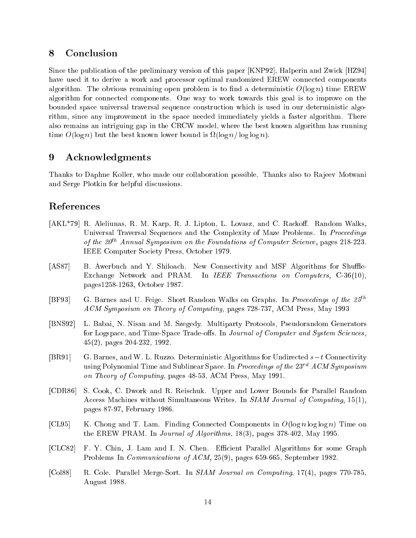# 8 Conclusion

Since the publication of the preliminary version of this paper [KNP92], Halperin and Zwick [HZ94] have used it to derive a work and processor optimal randomized EREW connected components algorithm. The obvious remaining open problem is to find a deterministic  $O(\log n)$  time EREW algorithm for connected components. One way to work towards this goal is to improve on the bounded space universal traversal sequence construction which is used in our deterministic algorithm, since any improvement in the space needed immediately yields a faster algorithm. There also remains an intriguing gap in the CRCW model, where the best known algorithm has running time O(log n) but the best known lower bound is (log n= log log n).

#### 9 Acknowledgments

Thanks to Daphne Koller, who made our collaboration possible. Thanks also to Rajeev Motwani and Serge Plotkin for helpful discussions.

# References

- [AKL<sup>\*</sup>79] R. Aleliunas, R. M. Karp, R. J. Lipton, L. Lovasz, and C. Rackoff. Random Walks, Universal Traversal Sequences and the Complexity of Maze Problems. In Proceedings of the  $20^{th}$  Annual Symposium on the Foundations of Computer Science, pages 218-223. IEEE Computer Society Press, October 1979.
- [AS87] B. Awerbuch and Y. Shiloach. New Connectivity and MSF Algorithms for Shuffle-Exchange Network and PRAM. In IEEE Transactions on Computers, C-36(10), pages1258-1263, October 1987.
- [BF93] G. Barnes and U. Feige. Short Random Walks on Graphs. In Proceedings of the  $25^{th}$ ACM Symposium on Theory of Computing, pages 728-737, ACM Press, May 1993
- [BNS92] L. Babai, N. Nisan and M. Szegedy. Multiparty Protocols, Pseudorandom Generators for Logspace, and Time-Space Trade-offs. In Journal of Computer and System Sciences, 45(2), pages 204-232, 1992.
- [BR91] G. Barnes, and W. L. Ruzzo. Deterministic Algorithms for Undirected  $s-t$  Connectivity using Polynomial Time and Sublinear Space. In Proceedings of the  $23^{rd}$  ACM Symposium on Theory of Computing, pages 48-53, ACM Press, May 1991.
- [CDR86] S. Cook, C. Dwork and R. Reischuk. Upper and Lower Bounds for Parallel Random Access Machines without Simultaneous Writes. In SIAM Journal of Computing, 15(1), pages 87-97, February 1986.
- [CL95] K. Chong and T. Lam. Finding Connected Components in  $O(\log n \log \log n)$  Time on the EREW PRAM. In Journal of Algorithms, 18(3), pages 378-402, May 1995.
- [CLC82] F. Y. Chin, J. Lam and I. N. Chen. Efficient Parallel Algorithms for some Graph Problems In Communications of ACM, 25(9), pages 659-665, September 1982.
- [Col88] R. Cole. Parallel Merge-Sort. In SIAM Journal on Computing, 17(4), pages 770-785, August 1988.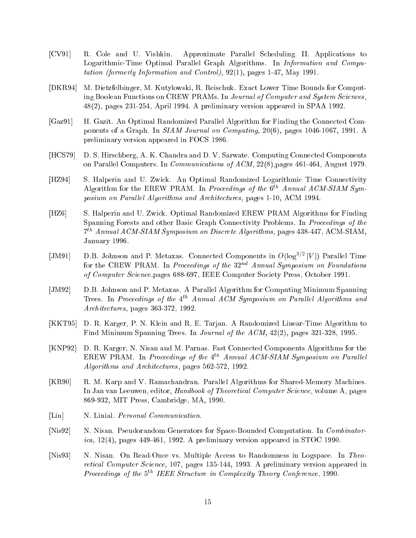- [CV91] R. Cole and U. Vishkin. Approximate Parallel Scheduling. II. Applications to Logarithmic-Time Optimal Parallel Graph Algorithms. In Information and Computation (formerly Information and Control), 92(1), pages 1-47, May 1991.
- [DKR94] M. Dietzfelbinger, M. Kutylowski, R. Reischuk. Exact Lower Time Bounds for Computing Boolean Functions on CREW PRAMs. In Journal of Computer and System Sciences, 48(2), pages 231-254, April 1994. A preliminary version appeared in SPAA 1992.
- [Gaz91] H. Gazit. An Optimal Randomized Parallel Algorithm for Finding the Connected Components of a Graph. In SIAM Journal on Computing, 20(6), pages 1046-1067, 1991. A preliminary version appeared in FOCS 1986.
- [HCS79] D. S. Hirschberg, A. K. Chandra and D. V. Sarwate. Computing Connected Components on Parallel Computers. In Communications of ACM, 22(8),pages 461-464, August 1979.
- [HZ94] S. Halperin and U. Zwick. An Optimal Randomized Logarithmic Time Connectivity Algorithm for the EREW PRAM. In Proceedings of the  $6^{th}$  Annual ACM-SIAM Symposium on Parallel Algorithms and Architectures, pages 1-10, ACM 1994.
- [HZ6] S. Halperin and U. Zwick. Optimal Randomized EREW PRAM Algorithms for Finding Spanning Forests and other Basic Graph Connectivity Problems. In Proceedings of the 7th Annual ACM-SIAM Symposium on Discrete Algorithms, pages 438-447, ACM-SIAM, January 1996.
- $|JM91|$  D.B. Johnson and P. Metaxas. Connected Components in  $O( \log^{\gamma} \gamma |V|)$  Parallel Time for the CREW PRAM. In Proceedings of the  $32^{nd}$  Annual Symposium on Foundations of Computer Science,pages 688-697, IEEE Computer Society Press, October 1991.
- [JM92] D.B. Johnson and P. Metaxas. A Parallel Algorithm for Computing Minimum Spanning Trees. In Proceedings of the  $4^{th}$  Annual ACM Symposium on Parallel Algorithms and Architectures, pages 363-372, 1992.
- [KKT95] D. R. Karger, P. N. Klein and R. E. Tarjan. A Randomized Linear-Time Algorithm to Find Minimum Spanning Trees. In Journal of the ACM, 42(2), pages 321-328, 1995.
- [KNP92] D. R. Karger, N. Nisan and M. Parnas. Fast Connected Components Algorithms for the EREW PRAM. In Proceedings of the  $4^{th}$  Annual ACM-SIAM Symposium on Parallel Algorithms and Architectures, pages 562-572, 1992.
- [KR90] R. M. Karp and V. Ramachandran. Parallel Algorithms for Shared-Memory Machines. In Jan van Leeuwen, editor, Handbook of Theoretical Computer Science, volume A, pages 869-932, MIT Press, Cambridge, MA, 1990.
- [Lin] N. Linial. *Personal Communication*.
- [Nis92] N. Nisan. Pseudorandom Generators for Space-Bounded Computation. In Combinatorica, 12(4), pages 449-461, 1992. A preliminary version appeared in STOC 1990.
- [Nis93] N. Nisan. On Read-Once vs. Multiple Access to Randomness in Logspace. In Theoretical Computer Science, 107, pages 135-144, 1993. A preliminary version appeared in Proceedings of the  $5^{th}$  IEEE Structure in Complexity Theory Conference, 1990.